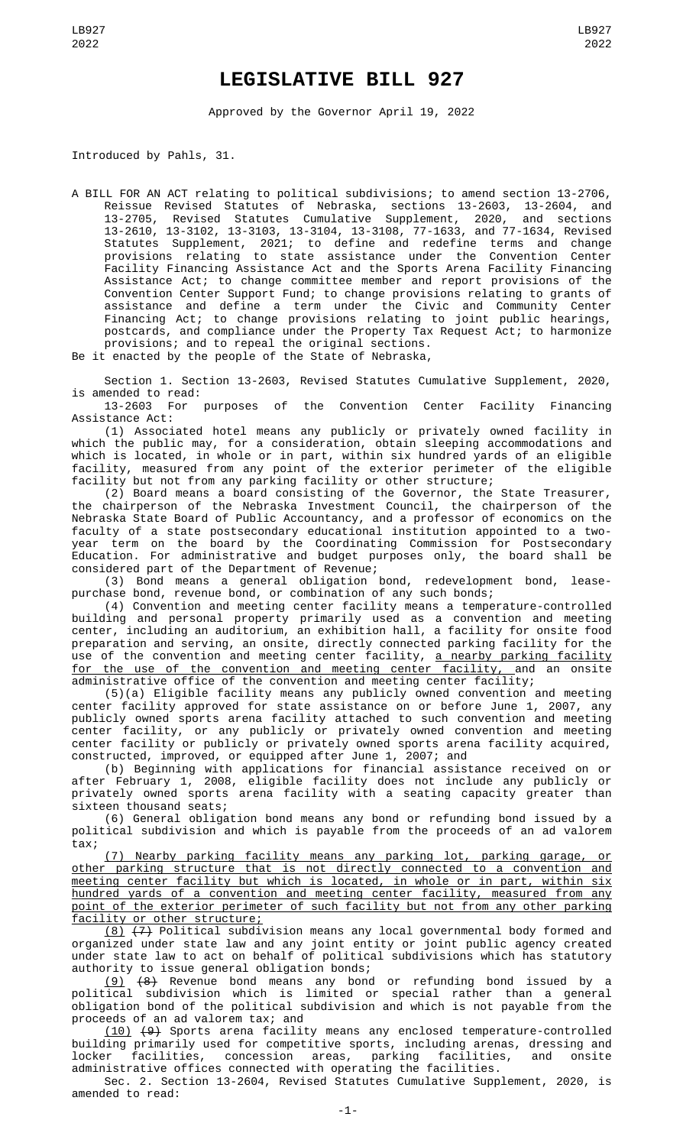## **LEGISLATIVE BILL 927**

Approved by the Governor April 19, 2022

Introduced by Pahls, 31.

A BILL FOR AN ACT relating to political subdivisions; to amend section 13-2706, Reissue Revised Statutes of Nebraska, sections 13-2603, 13-2604, and 13-2705, Revised Statutes Cumulative Supplement, 2020, and sections 13-2610, 13-3102, 13-3103, 13-3104, 13-3108, 77-1633, and 77-1634, Revised Statutes Supplement, 2021; to define and redefine terms and change provisions relating to state assistance under the Convention Center Facility Financing Assistance Act and the Sports Arena Facility Financing Assistance Act; to change committee member and report provisions of the Convention Center Support Fund; to change provisions relating to grants of assistance and define a term under the Civic and Community Center Financing Act; to change provisions relating to joint public hearings, postcards, and compliance under the Property Tax Request Act; to harmonize provisions; and to repeal the original sections.

Be it enacted by the people of the State of Nebraska,

Section 1. Section 13-2603, Revised Statutes Cumulative Supplement, 2020, is amended to read:

13-2603 For purposes of the Convention Center Facility Financing Assistance Act:

(1) Associated hotel means any publicly or privately owned facility in which the public may, for a consideration, obtain sleeping accommodations and which is located, in whole or in part, within six hundred yards of an eligible facility, measured from any point of the exterior perimeter of the eligible facility but not from any parking facility or other structure;

(2) Board means a board consisting of the Governor, the State Treasurer, the chairperson of the Nebraska Investment Council, the chairperson of the Nebraska State Board of Public Accountancy, and a professor of economics on the faculty of a state postsecondary educational institution appointed to a twoyear term on the board by the Coordinating Commission for Postsecondary Education. For administrative and budget purposes only, the board shall be considered part of the Department of Revenue;

(3) Bond means a general obligation bond, redevelopment bond, leasepurchase bond, revenue bond, or combination of any such bonds;

(4) Convention and meeting center facility means a temperature-controlled building and personal property primarily used as a convention and meeting center, including an auditorium, an exhibition hall, a facility for onsite food preparation and serving, an onsite, directly connected parking facility for the use of the convention and meeting center facility, <u>a nearby parking facility</u> for the use of the convention and meeting center facility, and an onsite administrative office of the convention and meeting center facility;

(5)(a) Eligible facility means any publicly owned convention and meeting center facility approved for state assistance on or before June 1, 2007, any publicly owned sports arena facility attached to such convention and meeting center facility, or any publicly or privately owned convention and meeting center facility or publicly or privately owned sports arena facility acquired, constructed, improved, or equipped after June 1, 2007; and

(b) Beginning with applications for financial assistance received on or after February 1, 2008, eligible facility does not include any publicly or privately owned sports arena facility with a seating capacity greater than sixteen thousand seats;

(6) General obligation bond means any bond or refunding bond issued by a political subdivision and which is payable from the proceeds of an ad valorem tax;

(7) Nearby parking facility means any parking lot, parking garage, or other parking structure that is not directly connected to a convention and meeting center facility but which is located, in whole or in part, within six hundred yards of a convention and meeting center facility, measured from any point of the exterior perimeter of such facility but not from any other parking facility or other structure;

<u>(8)</u>  $(7)$  Political subdivision means any local governmental body formed and organized under state law and any joint entity or joint public agency created under state law to act on behalf of political subdivisions which has statutory authority to issue general obligation bonds;

(9) (8) Revenue bond means any bond or refunding bond issued by a political subdivision which is limited or special rather than a general obligation bond of the political subdivision and which is not payable from the proceeds of an ad valorem tax; and

(10) (9) Sports arena facility means any enclosed temperature-controlled building primarily used for competitive sports, including arenas, dressing and locker facilities, concession areas, parking facilities, and onsite administrative offices connected with operating the facilities.

Sec. 2. Section 13-2604, Revised Statutes Cumulative Supplement, 2020, is amended to read: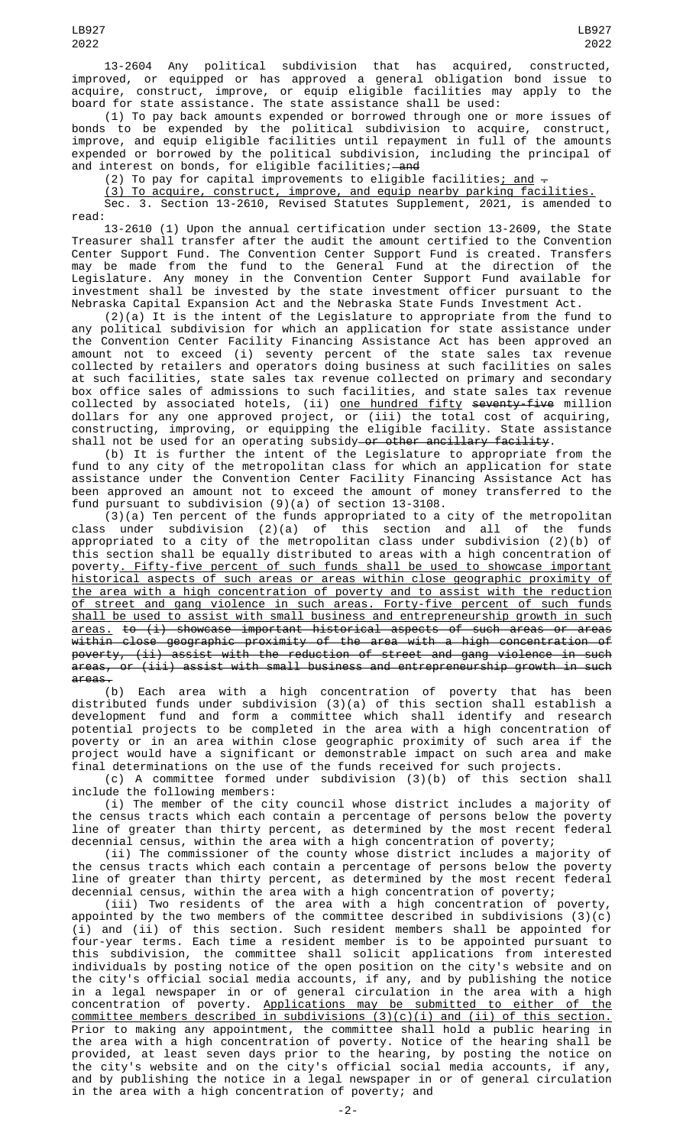13-2604 Any political subdivision that has acquired, constructed, improved, or equipped or has approved a general obligation bond issue to acquire, construct, improve, or equip eligible facilities may apply to the board for state assistance. The state assistance shall be used:

(1) To pay back amounts expended or borrowed through one or more issues of bonds to be expended by the political subdivision to acquire, construct, improve, and equip eligible facilities until repayment in full of the amounts expended or borrowed by the political subdivision, including the principal of and interest on bonds, for eligible facilities;—<del>and</del>

(2) To pay for capital improvements to eligible facilities; and -

(3) To acquire, construct, improve, and equip nearby parking facilities. Sec. 3. Section 13-2610, Revised Statutes Supplement, 2021, is amended to read:

13-2610 (1) Upon the annual certification under section 13-2609, the State Treasurer shall transfer after the audit the amount certified to the Convention Center Support Fund. The Convention Center Support Fund is created. Transfers may be made from the fund to the General Fund at the direction of the Legislature. Any money in the Convention Center Support Fund available for investment shall be invested by the state investment officer pursuant to the Nebraska Capital Expansion Act and the Nebraska State Funds Investment Act.

 $(2)(a)$  It is the intent of the Legislature to appropriate from the fund to any political subdivision for which an application for state assistance under the Convention Center Facility Financing Assistance Act has been approved an amount not to exceed (i) seventy percent of the state sales tax revenue collected by retailers and operators doing business at such facilities on sales at such facilities, state sales tax revenue collected on primary and secondary box office sales of admissions to such facilities, and state sales tax revenue collected by associated hotels, (ii) <u>one hundred fifty</u> <del>seventy-five</del> million dollars for any one approved project, or (iii) the total cost of acquiring, constructing, improving, or equipping the eligible facility. State assistance shall not be used for an operating subsidy<del> or other ancillary facility</del>.

(b) It is further the intent of the Legislature to appropriate from the fund to any city of the metropolitan class for which an application for state assistance under the Convention Center Facility Financing Assistance Act has been approved an amount not to exceed the amount of money transferred to the fund pursuant to subdivision (9)(a) of section 13-3108.

(3)(a) Ten percent of the funds appropriated to a city of the metropolitan class under subdivision (2)(a) of this section and all of the funds appropriated to a city of the metropolitan class under subdivision (2)(b) of this section shall be equally distributed to areas with a high concentration of poverty. Fifty-five percent of such funds shall be used to showcase important historical aspects of such areas or areas within close geographic proximity of the area with a high concentration of poverty and to assist with the reduction of street and gang violence in such areas. Forty-five percent of such funds shall be used to assist with small business and entrepreneurship growth in such areas. to (i) showcase important historical aspects of such areas or areas within close geographic proximity of the area with a high concentration of poverty, (ii) assist with the reduction of street and gang violence in such areas, or (iii) assist with small business and entrepreneurship growth in such areas.

(b) Each area with a high concentration of poverty that has been distributed funds under subdivision (3)(a) of this section shall establish a development fund and form a committee which shall identify and research potential projects to be completed in the area with a high concentration of poverty or in an area within close geographic proximity of such area if the project would have a significant or demonstrable impact on such area and make final determinations on the use of the funds received for such projects.

(c) A committee formed under subdivision (3)(b) of this section shall include the following members:

(i) The member of the city council whose district includes a majority of the census tracts which each contain a percentage of persons below the poverty line of greater than thirty percent, as determined by the most recent federal decennial census, within the area with a high concentration of poverty;

(ii) The commissioner of the county whose district includes a majority of the census tracts which each contain a percentage of persons below the poverty line of greater than thirty percent, as determined by the most recent federal decennial census, within the area with a high concentration of poverty;

(iii) Two residents of the area with a high concentration of poverty, appointed by the two members of the committee described in subdivisions (3)(c) (i) and (ii) of this section. Such resident members shall be appointed for four-year terms. Each time a resident member is to be appointed pursuant to this subdivision, the committee shall solicit applications from interested individuals by posting notice of the open position on the city's website and on the city's official social media accounts, if any, and by publishing the notice in a legal newspaper in or of general circulation in the area with a high concentration of poverty. Applications may be submitted to either of the <u>committee members described in subdivisions  $(3)(c)(i)$  and (ii) of this section.</u> Prior to making any appointment, the committee shall hold a public hearing in the area with a high concentration of poverty. Notice of the hearing shall be provided, at least seven days prior to the hearing, by posting the notice on the city's website and on the city's official social media accounts, if any, and by publishing the notice in a legal newspaper in or of general circulation in the area with a high concentration of poverty; and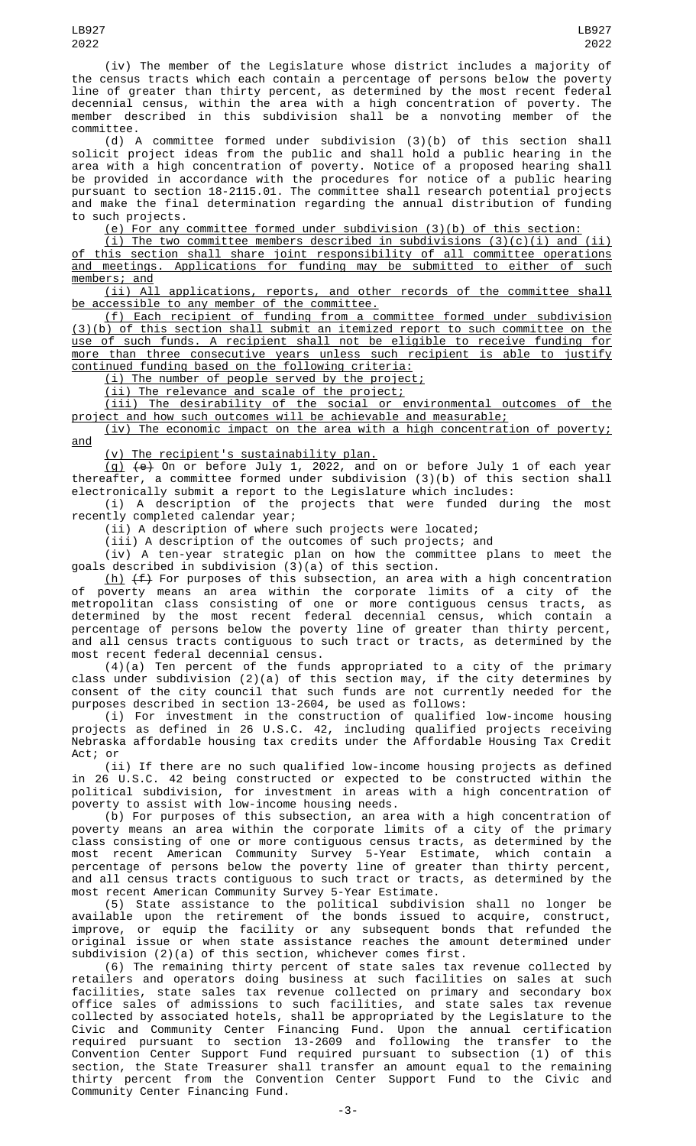(iv) The member of the Legislature whose district includes a majority of the census tracts which each contain a percentage of persons below the poverty line of greater than thirty percent, as determined by the most recent federal decennial census, within the area with a high concentration of poverty. The member described in this subdivision shall be a nonvoting member of the committee.

(d) A committee formed under subdivision (3)(b) of this section shall solicit project ideas from the public and shall hold a public hearing in the area with a high concentration of poverty. Notice of a proposed hearing shall be provided in accordance with the procedures for notice of a public hearing pursuant to section 18-2115.01. The committee shall research potential projects and make the final determination regarding the annual distribution of funding to such projects.

(e) For any committee formed under subdivision (3)(b) of this section:

 $(i)$  The two committee members described in subdivisions  $(3)(c)(i)$  and  $(ii)$ of this section shall share joint responsibility of all committee operations and meetings. Applications for funding may be submitted to either of such members; and

(ii) All applications, reports, and other records of the committee shall be accessible to any member of the committee.

(f) Each recipient of funding from a committee formed under subdivision (3)(b) of this section shall submit an itemized report to such committee on the use of such funds. A recipient shall not be eligible to receive funding for more than three consecutive years unless such recipient is able to justify continued funding based on the following criteria:

(i) The number of people served by the project;

(ii) The relevance and scale of the project;

(iii) The desirability of the social or environmental outcomes of the project and how such outcomes will be achievable and measurable;

(iv) The economic impact on the area with a high concentration of poverty; and

(v) The recipient's sustainability plan.

(g) (e) On or before July 1, 2022, and on or before July 1 of each year thereafter, a committee formed under subdivision (3)(b) of this section shall electronically submit a report to the Legislature which includes:

(i) A description of the projects that were funded during the most recently completed calendar year;

(ii) A description of where such projects were located;

(iii) A description of the outcomes of such projects; and

(iv) A ten-year strategic plan on how the committee plans to meet the goals described in subdivision (3)(a) of this section.

(h) (f) For purposes of this subsection, an area with a high concentration of poverty means an area within the corporate limits of a city of the metropolitan class consisting of one or more contiguous census tracts, as determined by the most recent federal decennial census, which contain a percentage of persons below the poverty line of greater than thirty percent, and all census tracts contiguous to such tract or tracts, as determined by the most recent federal decennial census.

(4)(a) Ten percent of the funds appropriated to a city of the primary class under subdivision (2)(a) of this section may, if the city determines by consent of the city council that such funds are not currently needed for the purposes described in section 13-2604, be used as follows:

(i) For investment in the construction of qualified low-income housing projects as defined in 26 U.S.C. 42, including qualified projects receiving Nebraska affordable housing tax credits under the Affordable Housing Tax Credit Act; or

(ii) If there are no such qualified low-income housing projects as defined in 26 U.S.C. 42 being constructed or expected to be constructed within the political subdivision, for investment in areas with a high concentration of poverty to assist with low-income housing needs.

(b) For purposes of this subsection, an area with a high concentration of poverty means an area within the corporate limits of a city of the primary class consisting of one or more contiguous census tracts, as determined by the most recent American Community Survey 5-Year Estimate, which contain a percentage of persons below the poverty line of greater than thirty percent, and all census tracts contiguous to such tract or tracts, as determined by the most recent American Community Survey 5-Year Estimate.

(5) State assistance to the political subdivision shall no longer be available upon the retirement of the bonds issued to acquire, construct, improve, or equip the facility or any subsequent bonds that refunded the original issue or when state assistance reaches the amount determined under subdivision (2)(a) of this section, whichever comes first.

(6) The remaining thirty percent of state sales tax revenue collected by retailers and operators doing business at such facilities on sales at such facilities, state sales tax revenue collected on primary and secondary box office sales of admissions to such facilities, and state sales tax revenue collected by associated hotels, shall be appropriated by the Legislature to the Civic and Community Center Financing Fund. Upon the annual certification required pursuant to section 13-2609 and following the transfer to the Convention Center Support Fund required pursuant to subsection (1) of this section, the State Treasurer shall transfer an amount equal to the remaining thirty percent from the Convention Center Support Fund to the Civic and Community Center Financing Fund.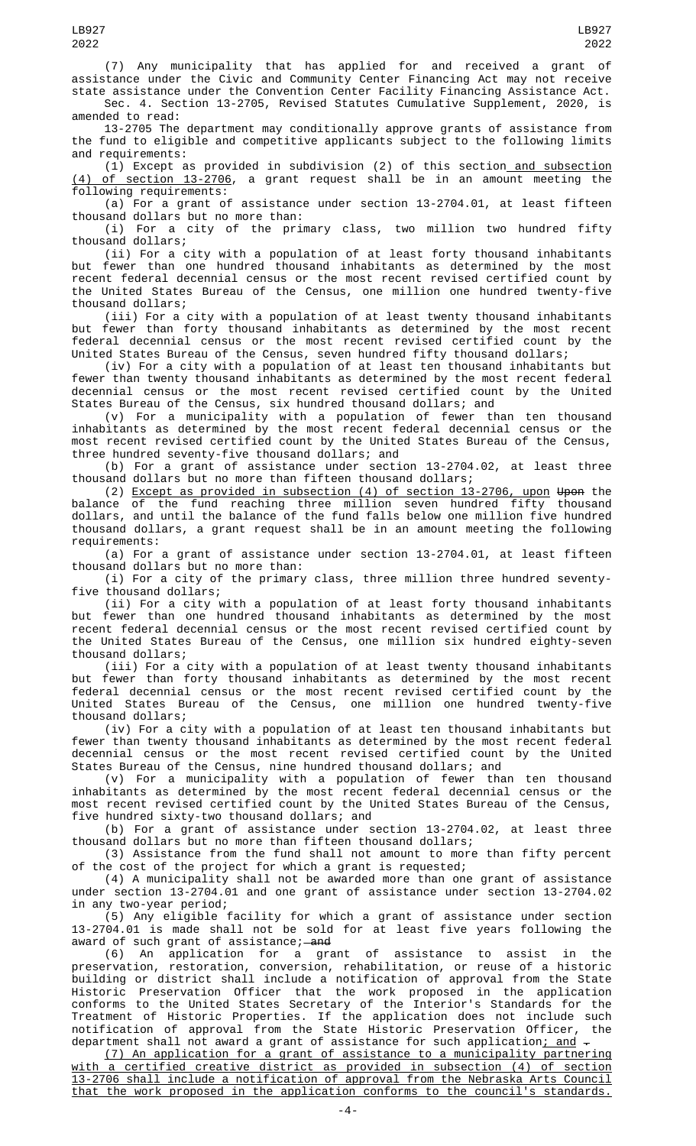(7) Any municipality that has applied for and received a grant of assistance under the Civic and Community Center Financing Act may not receive state assistance under the Convention Center Facility Financing Assistance Act.

Sec. 4. Section 13-2705, Revised Statutes Cumulative Supplement, 2020, is amended to read:

13-2705 The department may conditionally approve grants of assistance from the fund to eligible and competitive applicants subject to the following limits and requirements:

 $(i)$  Except as provided in subdivision (2) of this section and subsection (4) of section 13-2706, a grant request shall be in an amount meeting the following requirements:

(a) For a grant of assistance under section 13-2704.01, at least fifteen thousand dollars but no more than:

(i) For a city of the primary class, two million two hundred fifty thousand dollars;

(ii) For a city with a population of at least forty thousand inhabitants but fewer than one hundred thousand inhabitants as determined by the most recent federal decennial census or the most recent revised certified count by the United States Bureau of the Census, one million one hundred twenty-five thousand dollars;

(iii) For a city with a population of at least twenty thousand inhabitants but fewer than forty thousand inhabitants as determined by the most recent federal decennial census or the most recent revised certified count by the United States Bureau of the Census, seven hundred fifty thousand dollars;

(iv) For a city with a population of at least ten thousand inhabitants but fewer than twenty thousand inhabitants as determined by the most recent federal decennial census or the most recent revised certified count by the United States Bureau of the Census, six hundred thousand dollars; and

(v) For a municipality with a population of fewer than ten thousand inhabitants as determined by the most recent federal decennial census or the most recent revised certified count by the United States Bureau of the Census, three hundred seventy-five thousand dollars; and

(b) For a grant of assistance under section 13-2704.02, at least three thousand dollars but no more than fifteen thousand dollars;

(2) Except as provided in subsection (4) of section 13-2706, upon Upon the balance of the fund reaching three million seven hundred fifty thousand dollars, and until the balance of the fund falls below one million five hundred thousand dollars, a grant request shall be in an amount meeting the following requirements:

(a) For a grant of assistance under section 13-2704.01, at least fifteen thousand dollars but no more than:

(i) For a city of the primary class, three million three hundred seventyfive thousand dollars;

(ii) For a city with a population of at least forty thousand inhabitants but fewer than one hundred thousand inhabitants as determined by the most recent federal decennial census or the most recent revised certified count by the United States Bureau of the Census, one million six hundred eighty-seven thousand dollars;

(iii) For a city with a population of at least twenty thousand inhabitants but fewer than forty thousand inhabitants as determined by the most recent federal decennial census or the most recent revised certified count by the United States Bureau of the Census, one million one hundred twenty-five thousand dollars;

(iv) For a city with a population of at least ten thousand inhabitants but fewer than twenty thousand inhabitants as determined by the most recent federal decennial census or the most recent revised certified count by the United States Bureau of the Census, nine hundred thousand dollars; and

(v) For a municipality with a population of fewer than ten thousand inhabitants as determined by the most recent federal decennial census or the most recent revised certified count by the United States Bureau of the Census, five hundred sixty-two thousand dollars; and

(b) For a grant of assistance under section 13-2704.02, at least three thousand dollars but no more than fifteen thousand dollars;

(3) Assistance from the fund shall not amount to more than fifty percent of the cost of the project for which a grant is requested;

(4) A municipality shall not be awarded more than one grant of assistance under section 13-2704.01 and one grant of assistance under section 13-2704.02 in any two-year period;

(5) Any eligible facility for which a grant of assistance under section 13-2704.01 is made shall not be sold for at least five years following the award of such grant of assistance;—<del>and</del>

(6) An application for a grant of assistance to assist in the preservation, restoration, conversion, rehabilitation, or reuse of a historic building or district shall include a notification of approval from the State Historic Preservation Officer that the work proposed in the application conforms to the United States Secretary of the Interior's Standards for the Treatment of Historic Properties. If the application does not include such notification of approval from the State Historic Preservation Officer, the department shall not award a grant of assistance for such application; and .

(7) An application for a grant of assistance to a municipality partnering with a certified creative district as provided in subsection (4) of section 13-2706 shall include a notification of approval from the Nebraska Arts Council that the work proposed in the application conforms to the council's standards.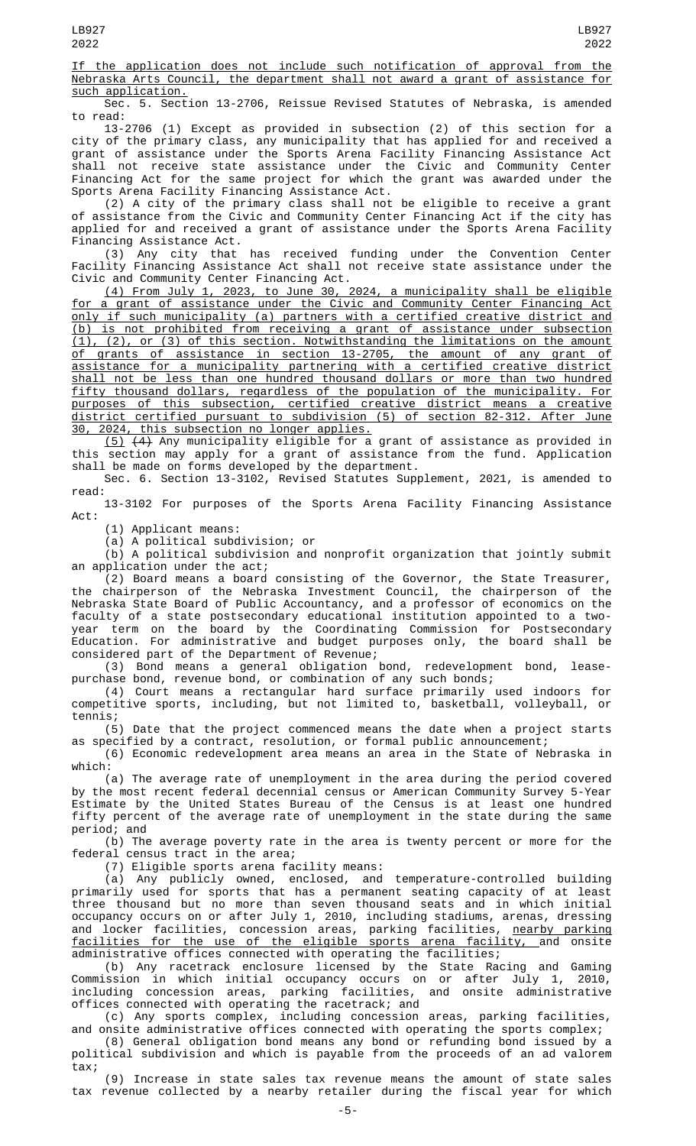If the application does not include such notification of approval from the Nebraska Arts Council, the department shall not award a grant of assistance for such application.

Sec. 5. Section 13-2706, Reissue Revised Statutes of Nebraska, is amended to read:

13-2706 (1) Except as provided in subsection (2) of this section for a city of the primary class, any municipality that has applied for and received a grant of assistance under the Sports Arena Facility Financing Assistance Act shall not receive state assistance under the Civic and Community Center Financing Act for the same project for which the grant was awarded under the Sports Arena Facility Financing Assistance Act.

(2) A city of the primary class shall not be eligible to receive a grant of assistance from the Civic and Community Center Financing Act if the city has applied for and received a grant of assistance under the Sports Arena Facility Financing Assistance Act.

(3) Any city that has received funding under the Convention Center Facility Financing Assistance Act shall not receive state assistance under the Civic and Community Center Financing Act.

(4) From July 1, 2023, to June 30, 2024, a municipality shall be eligible for a grant of assistance under the Civic and Community Center Financing Act only if such municipality (a) partners with a certified creative district and (b) is not prohibited from receiving a grant of assistance under subsection (1), (2), or (3) of this section. Notwithstanding the limitations on the amount of grants of assistance in section 13-2705, the amount of any grant of assistance for a municipality partnering with a certified creative district shall not be less than one hundred thousand dollars or more than two hundred fifty thousand dollars, regardless of the population of the municipality. For purposes of this subsection, certified creative district means a creative district certified pursuant to subdivision (5) of section 82-312. After June 30, 2024, this subsection no longer applies.

(5) (4) Any municipality eligible for a grant of assistance as provided in this section may apply for a grant of assistance from the fund. Application shall be made on forms developed by the department.

Sec. 6. Section 13-3102, Revised Statutes Supplement, 2021, is amended to read:

13-3102 For purposes of the Sports Arena Facility Financing Assistance Act:

(1) Applicant means:

(a) A political subdivision; or

(b) A political subdivision and nonprofit organization that jointly submit an application under the act;

(2) Board means a board consisting of the Governor, the State Treasurer, the chairperson of the Nebraska Investment Council, the chairperson of the Nebraska State Board of Public Accountancy, and a professor of economics on the faculty of a state postsecondary educational institution appointed to a twoyear term on the board by the Coordinating Commission for Postsecondary Education. For administrative and budget purposes only, the board shall be considered part of the Department of Revenue;

(3) Bond means a general obligation bond, redevelopment bond, leasepurchase bond, revenue bond, or combination of any such bonds;

(4) Court means a rectangular hard surface primarily used indoors for competitive sports, including, but not limited to, basketball, volleyball, or tennis;

(5) Date that the project commenced means the date when a project starts as specified by a contract, resolution, or formal public announcement;

(6) Economic redevelopment area means an area in the State of Nebraska in which:

(a) The average rate of unemployment in the area during the period covered by the most recent federal decennial census or American Community Survey 5-Year Estimate by the United States Bureau of the Census is at least one hundred fifty percent of the average rate of unemployment in the state during the same period; and

(b) The average poverty rate in the area is twenty percent or more for the federal census tract in the area;

(7) Eligible sports arena facility means:

(a) Any publicly owned, enclosed, and temperature-controlled building primarily used for sports that has a permanent seating capacity of at least three thousand but no more than seven thousand seats and in which initial occupancy occurs on or after July 1, 2010, including stadiums, arenas, dressing and locker facilities, concession areas, parking facilities, <u>nearby parking</u> facilities for the use of the eligible sports arena facility, and onsite administrative offices connected with operating the facilities;

(b) Any racetrack enclosure licensed by the State Racing and Gaming Commission in which initial occupancy occurs on or after July 1, 2010, including concession areas, parking facilities, and onsite administrative offices connected with operating the racetrack; and

(c) Any sports complex, including concession areas, parking facilities, and onsite administrative offices connected with operating the sports complex;

(8) General obligation bond means any bond or refunding bond issued by a political subdivision and which is payable from the proceeds of an ad valorem tax;

(9) Increase in state sales tax revenue means the amount of state sales tax revenue collected by a nearby retailer during the fiscal year for which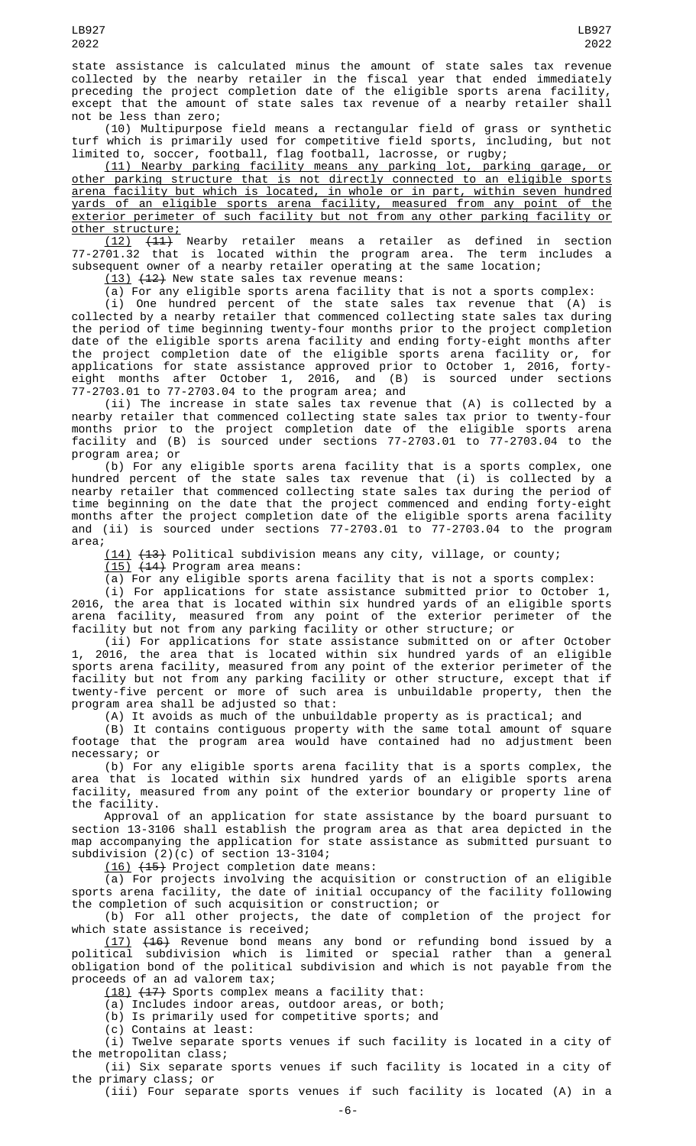state assistance is calculated minus the amount of state sales tax revenue collected by the nearby retailer in the fiscal year that ended immediately preceding the project completion date of the eligible sports arena facility, except that the amount of state sales tax revenue of a nearby retailer shall not be less than zero;

(10) Multipurpose field means a rectangular field of grass or synthetic turf which is primarily used for competitive field sports, including, but not limited to, soccer, football, flag football, lacrosse, or rugby;

(11) Nearby parking facility means any parking lot, parking garage, or other parking structure that is not directly connected to an eligible sports arena facility but which is located, in whole or in part, within seven hundred yards of an eligible sports arena facility, measured from any point of the exterior perimeter of such facility but not from any other parking facility or other structure;

(12) (11) Nearby retailer means a retailer as defined in section 77-2701.32 that is located within the program area. The term includes a subsequent owner of a nearby retailer operating at the same location;

 $(13)$   $(12)$  New state sales tax revenue means:

(a) For any eligible sports arena facility that is not a sports complex:

(i) One hundred percent of the state sales tax revenue that (A) is collected by a nearby retailer that commenced collecting state sales tax during the period of time beginning twenty-four months prior to the project completion date of the eligible sports arena facility and ending forty-eight months after the project completion date of the eligible sports arena facility or, for applications for state assistance approved prior to October 1, 2016, fortyeight months after October 1, 2016, and (B) is sourced under sections 77-2703.01 to 77-2703.04 to the program area; and

(ii) The increase in state sales tax revenue that (A) is collected by a nearby retailer that commenced collecting state sales tax prior to twenty-four months prior to the project completion date of the eligible sports arena facility and (B) is sourced under sections 77-2703.01 to 77-2703.04 to the program area; or

(b) For any eligible sports arena facility that is a sports complex, one hundred percent of the state sales tax revenue that (i) is collected by a nearby retailer that commenced collecting state sales tax during the period of time beginning on the date that the project commenced and ending forty-eight months after the project completion date of the eligible sports arena facility and (ii) is sourced under sections 77-2703.01 to 77-2703.04 to the program area;

(14) (13) Political subdivision means any city, village, or county;

 $(15)$   $(14)$  Program area means:

(a) For any eligible sports arena facility that is not a sports complex:

(i) For applications for state assistance submitted prior to October 1, 2016, the area that is located within six hundred yards of an eligible sports arena facility, measured from any point of the exterior perimeter of the facility but not from any parking facility or other structure; or

(ii) For applications for state assistance submitted on or after October 1, 2016, the area that is located within six hundred yards of an eligible sports arena facility, measured from any point of the exterior perimeter of the facility but not from any parking facility or other structure, except that if twenty-five percent or more of such area is unbuildable property, then the program area shall be adjusted so that:

(A) It avoids as much of the unbuildable property as is practical; and

(B) It contains contiguous property with the same total amount of square footage that the program area would have contained had no adjustment been necessary; or

(b) For any eligible sports arena facility that is a sports complex, the area that is located within six hundred yards of an eligible sports arena facility, measured from any point of the exterior boundary or property line of the facility.

Approval of an application for state assistance by the board pursuant to section 13-3106 shall establish the program area as that area depicted in the map accompanying the application for state assistance as submitted pursuant to subdivision (2)(c) of section 13-3104;

(16) (15) Project completion date means:

(a) For projects involving the acquisition or construction of an eligible sports arena facility, the date of initial occupancy of the facility following the completion of such acquisition or construction; or

(b) For all other projects, the date of completion of the project for which state assistance is received;

(17) (16) Revenue bond means any bond or refunding bond issued by a political subdivision which is limited or special rather than a general obligation bond of the political subdivision and which is not payable from the proceeds of an ad valorem tax;

(18) (17) Sports complex means a facility that:

(a) Includes indoor areas, outdoor areas, or both;

(b) Is primarily used for competitive sports; and

(c) Contains at least:

(i) Twelve separate sports venues if such facility is located in a city of the metropolitan class;

(ii) Six separate sports venues if such facility is located in a city of the primary class; or

(iii) Four separate sports venues if such facility is located (A) in a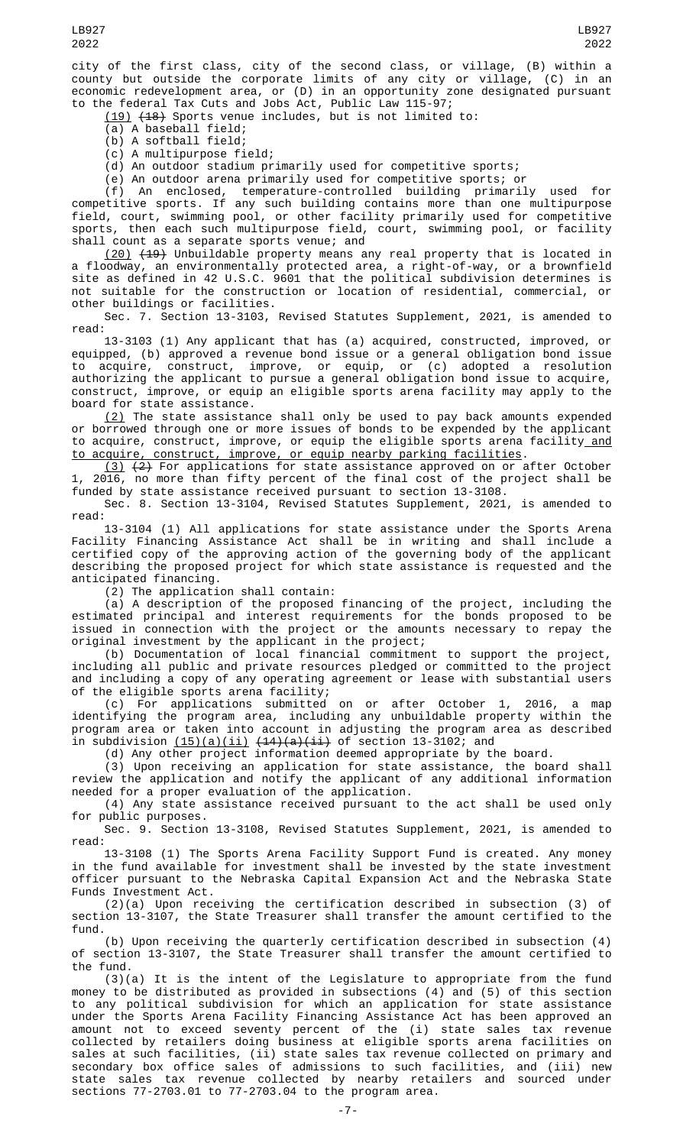city of the first class, city of the second class, or village, (B) within a county but outside the corporate limits of any city or village, (C) in an economic redevelopment area, or (D) in an opportunity zone designated pursuant to the federal Tax Cuts and Jobs Act, Public Law 115-97;

(19) (18) Sports venue includes, but is not limited to:

(a) A baseball field;

(b) A softball field;

(c) A multipurpose field;

(d) An outdoor stadium primarily used for competitive sports;

(e) An outdoor arena primarily used for competitive sports; or

(f) An enclosed, temperature-controlled building primarily used for competitive sports. If any such building contains more than one multipurpose field, court, swimming pool, or other facility primarily used for competitive sports, then each such multipurpose field, court, swimming pool, or facility shall count as a separate sports venue; and

(20) (19) Unbuildable property means any real property that is located in a floodway, an environmentally protected area, a right-of-way, or a brownfield site as defined in 42 U.S.C. 9601 that the political subdivision determines is not suitable for the construction or location of residential, commercial, or other buildings or facilities.

Sec. 7. Section 13-3103, Revised Statutes Supplement, 2021, is amended to read:

13-3103 (1) Any applicant that has (a) acquired, constructed, improved, or equipped, (b) approved a revenue bond issue or a general obligation bond issue to acquire, construct, improve, or equip, or (c) adopted a resolution authorizing the applicant to pursue a general obligation bond issue to acquire, construct, improve, or equip an eligible sports arena facility may apply to the board for state assistance.

 $\{2\}$  The state assistance shall only be used to pay back amounts expended or borrowed through one or more issues of bonds to be expended by the applicant to acquire, construct, improve, or equip the eligible sports arena facility\_and to acquire, construct, improve, or equip nearby parking facilities.

<u>(3)</u> <del>(2)</del> For applications for state assistance approved on or after October 1, 2016, no more than fifty percent of the final cost of the project shall be funded by state assistance received pursuant to section 13-3108.

Sec. 8. Section 13-3104, Revised Statutes Supplement, 2021, is amended to read:

13-3104 (1) All applications for state assistance under the Sports Arena Facility Financing Assistance Act shall be in writing and shall include a certified copy of the approving action of the governing body of the applicant describing the proposed project for which state assistance is requested and the anticipated financing.

(2) The application shall contain:

(a) A description of the proposed financing of the project, including the estimated principal and interest requirements for the bonds proposed to be issued in connection with the project or the amounts necessary to repay the original investment by the applicant in the project;

(b) Documentation of local financial commitment to support the project, including all public and private resources pledged or committed to the project and including a copy of any operating agreement or lease with substantial users of the eligible sports arena facility;

(c) For applications submitted on or after October 1, 2016, a map identifying the program area, including any unbuildable property within the program area or taken into account in adjusting the program area as described in subdivision <u>(15)(a)(ii)</u> <del>(14)(a)(ii)</del> of section 13-3102; and

(d) Any other project information deemed appropriate by the board.

(3) Upon receiving an application for state assistance, the board shall review the application and notify the applicant of any additional information needed for a proper evaluation of the application.

(4) Any state assistance received pursuant to the act shall be used only for public purposes.

Sec. 9. Section 13-3108, Revised Statutes Supplement, 2021, is amended to read:

13-3108 (1) The Sports Arena Facility Support Fund is created. Any money in the fund available for investment shall be invested by the state investment officer pursuant to the Nebraska Capital Expansion Act and the Nebraska State Funds Investment Act.

(2)(a) Upon receiving the certification described in subsection (3) of section 13-3107, the State Treasurer shall transfer the amount certified to the fund.

(b) Upon receiving the quarterly certification described in subsection (4) of section 13-3107, the State Treasurer shall transfer the amount certified to the fund.

(3)(a) It is the intent of the Legislature to appropriate from the fund money to be distributed as provided in subsections (4) and (5) of this section to any political subdivision for which an application for state assistance under the Sports Arena Facility Financing Assistance Act has been approved an amount not to exceed seventy percent of the (i) state sales tax revenue collected by retailers doing business at eligible sports arena facilities on sales at such facilities, (ii) state sales tax revenue collected on primary and secondary box office sales of admissions to such facilities, and (iii) new state sales tax revenue collected by nearby retailers and sourced under sections 77-2703.01 to 77-2703.04 to the program area.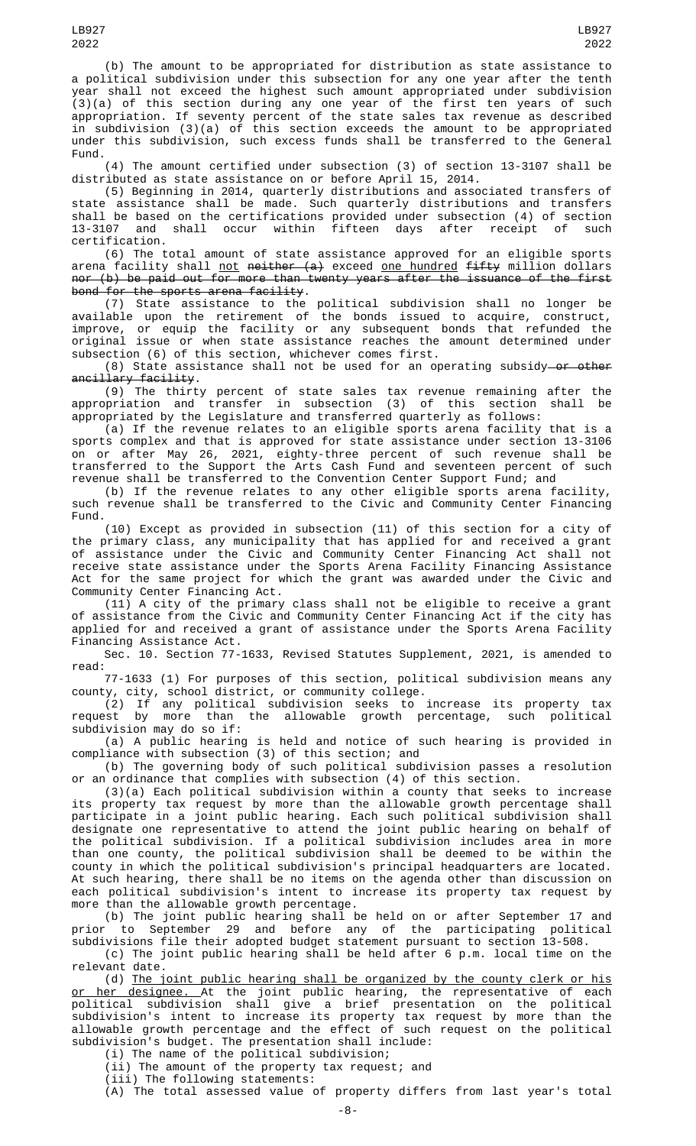(b) The amount to be appropriated for distribution as state assistance to a political subdivision under this subsection for any one year after the tenth year shall not exceed the highest such amount appropriated under subdivision (3)(a) of this section during any one year of the first ten years of such appropriation. If seventy percent of the state sales tax revenue as described in subdivision (3)(a) of this section exceeds the amount to be appropriated under this subdivision, such excess funds shall be transferred to the General Fund.

(4) The amount certified under subsection (3) of section 13-3107 shall be distributed as state assistance on or before April 15, 2014.

(5) Beginning in 2014, quarterly distributions and associated transfers of state assistance shall be made. Such quarterly distributions and transfers shall be based on the certifications provided under subsection (4) of section 13-3107 and shall occur within fifteen days after receipt of such certification.

(6) The total amount of state assistance approved for an eligible sports arena facility shall <u>not</u> <del>neither (a)</del> exceed <u>one hundred</u> f<del>ifty</del> million dollars nor (b) be paid out for more than twenty years after the issuance of the first bond for the sports arena facility.

(7) State assistance to the political subdivision shall no longer be available upon the retirement of the bonds issued to acquire, construct, improve, or equip the facility or any subsequent bonds that refunded the original issue or when state assistance reaches the amount determined under subsection (6) of this section, whichever comes first.

(8) State assistance shall not be used for an operating subsidy—o<del>r other</del> ancillary facility.

(9) The thirty percent of state sales tax revenue remaining after the appropriation and transfer in subsection (3) of this section shall be appropriated by the Legislature and transferred quarterly as follows:

(a) If the revenue relates to an eligible sports arena facility that is a sports complex and that is approved for state assistance under section 13-3106 on or after May 26, 2021, eighty-three percent of such revenue shall be transferred to the Support the Arts Cash Fund and seventeen percent of such revenue shall be transferred to the Convention Center Support Fund; and

(b) If the revenue relates to any other eligible sports arena facility, such revenue shall be transferred to the Civic and Community Center Financing Fund.

(10) Except as provided in subsection (11) of this section for a city of the primary class, any municipality that has applied for and received a grant of assistance under the Civic and Community Center Financing Act shall not receive state assistance under the Sports Arena Facility Financing Assistance Act for the same project for which the grant was awarded under the Civic and Community Center Financing Act.

(11) A city of the primary class shall not be eligible to receive a grant of assistance from the Civic and Community Center Financing Act if the city has applied for and received a grant of assistance under the Sports Arena Facility Financing Assistance Act.

Sec. 10. Section 77-1633, Revised Statutes Supplement, 2021, is amended to read:

77-1633 (1) For purposes of this section, political subdivision means any county, city, school district, or community college.

(2) If any political subdivision seeks to increase its property tax request by more than the allowable growth percentage, such political subdivision may do so if:

(a) A public hearing is held and notice of such hearing is provided in compliance with subsection (3) of this section; and

(b) The governing body of such political subdivision passes a resolution or an ordinance that complies with subsection (4) of this section.

(3)(a) Each political subdivision within a county that seeks to increase its property tax request by more than the allowable growth percentage shall participate in a joint public hearing. Each such political subdivision shall designate one representative to attend the joint public hearing on behalf of the political subdivision. If a political subdivision includes area in more than one county, the political subdivision shall be deemed to be within the county in which the political subdivision's principal headquarters are located. At such hearing, there shall be no items on the agenda other than discussion on each political subdivision's intent to increase its property tax request by more than the allowable growth percentage.

(b) The joint public hearing shall be held on or after September 17 and prior to September 29 and before any of the participating political subdivisions file their adopted budget statement pursuant to section 13-508.

(c) The joint public hearing shall be held after 6 p.m. local time on the relevant date.

(d) The joint public hearing shall be organized by the county clerk or his <u>or her designee. A</u>t the joint public hearing, the representative of each political subdivision shall give a brief presentation on the political subdivision's intent to increase its property tax request by more than the allowable growth percentage and the effect of such request on the political subdivision's budget. The presentation shall include:

(i) The name of the political subdivision;

(ii) The amount of the property tax request; and (iii) The following statements:

(A) The total assessed value of property differs from last year's total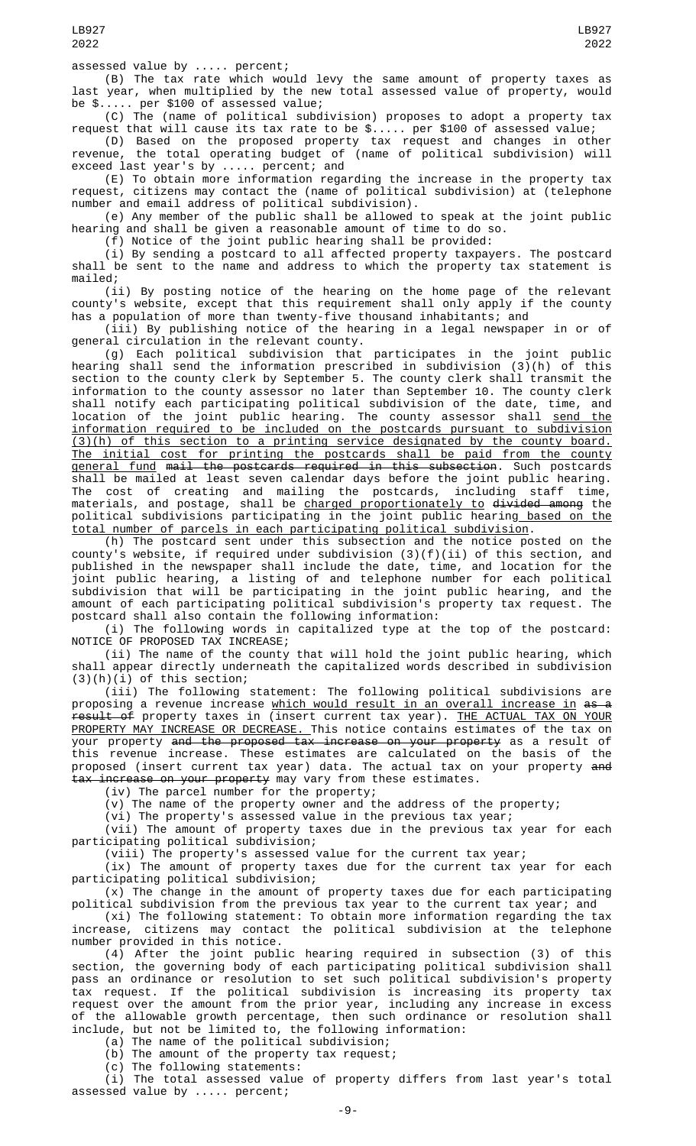(B) The tax rate which would levy the same amount of property taxes as last year, when multiplied by the new total assessed value of property, would be \$..... per \$100 of assessed value;

(C) The (name of political subdivision) proposes to adopt a property tax request that will cause its tax rate to be \$..... per \$100 of assessed value;

(D) Based on the proposed property tax request and changes in other revenue, the total operating budget of (name of political subdivision) will exceed last year's by ..... percent; and

(E) To obtain more information regarding the increase in the property tax request, citizens may contact the (name of political subdivision) at (telephone number and email address of political subdivision).

(e) Any member of the public shall be allowed to speak at the joint public hearing and shall be given a reasonable amount of time to do so.

(f) Notice of the joint public hearing shall be provided:

(i) By sending a postcard to all affected property taxpayers. The postcard shall be sent to the name and address to which the property tax statement is mailed;

(ii) By posting notice of the hearing on the home page of the relevant county's website, except that this requirement shall only apply if the county has a population of more than twenty-five thousand inhabitants; and

(iii) By publishing notice of the hearing in a legal newspaper in or of general circulation in the relevant county.

(g) Each political subdivision that participates in the joint public hearing shall send the information prescribed in subdivision (3)(h) of this section to the county clerk by September 5. The county clerk shall transmit the information to the county assessor no later than September 10. The county clerk shall notify each participating political subdivision of the date, time, and location of the joint public hearing. The county assessor shall <u>send the</u> information required to be included on the postcards pursuant to subdivision (3)(h) of this section to a printing service designated by the county board. The initial cost for printing the postcards shall be paid from the county <u>general fund</u> <del>mail the postcards required in this subsection</del>. Such postcards shall be mailed at least seven calendar days before the joint public hearing. The cost of creating and mailing the postcards, including staff time, materials, and postage, shall be <u>charged proportionately to</u> <del>divided among</del> the political subdivisions participating in the joint public hearin<u>g based on the</u> total number of parcels in each participating political subdivision.

(h) The postcard sent under this subsection and the notice posted on the county's website, if required under subdivision (3)(f)(ii) of this section, and published in the newspaper shall include the date, time, and location for the joint public hearing, a listing of and telephone number for each political subdivision that will be participating in the joint public hearing, and the amount of each participating political subdivision's property tax request. The postcard shall also contain the following information:

(i) The following words in capitalized type at the top of the postcard: NOTICE OF PROPOSED TAX INCREASE;

(ii) The name of the county that will hold the joint public hearing, which shall appear directly underneath the capitalized words described in subdivision (3)(h)(i) of this section;

(iii) The following statement: The following political subdivisions are proposing a revenue increase <u>which would result in an overall increase in</u> <del>as a</del> result of property taxes in (insert current tax year). THE ACTUAL TAX ON YOUR PROPERTY MAY INCREASE OR DECREASE. This notice contains estimates of the tax on your property <del>and the proposed tax increase on your property</del> as a result of this revenue increase. These estimates are calculated on the basis of the proposed (insert current tax year) data. The actual tax on your property <del>and</del> tax increase on your property may vary from these estimates.

(iv) The parcel number for the property;

(v) The name of the property owner and the address of the property;

(vi) The property's assessed value in the previous tax year;

(vii) The amount of property taxes due in the previous tax year for each participating political subdivision;

(viii) The property's assessed value for the current tax year; (ix) The amount of property taxes due for the current tax year for each

participating political subdivision;  $(x)$  The change in the amount of property taxes due for each participating

political subdivision from the previous tax year to the current tax year; and (xi) The following statement: To obtain more information regarding the tax increase, citizens may contact the political subdivision at the telephone

number provided in this notice. (4) After the joint public hearing required in subsection (3) of this section, the governing body of each participating political subdivision shall pass an ordinance or resolution to set such political subdivision's property tax request. If the political subdivision is increasing its property tax request over the amount from the prior year, including any increase in excess of the allowable growth percentage, then such ordinance or resolution shall include, but not be limited to, the following information:

(a) The name of the political subdivision;

(b) The amount of the property tax request;

(c) The following statements:

(i) The total assessed value of property differs from last year's total assessed value by ..... percent;